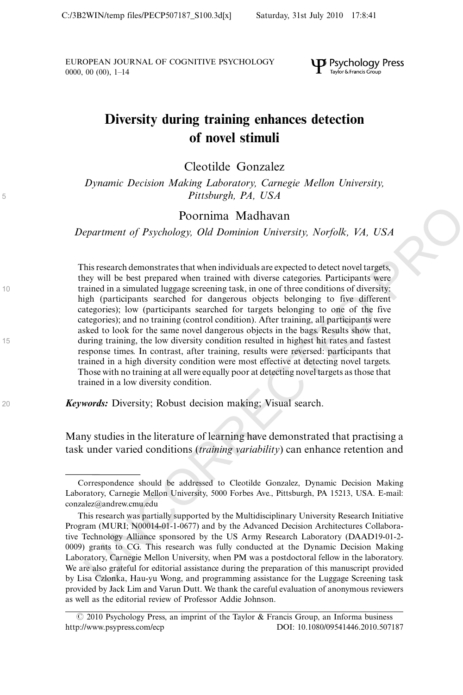5

10

15

 $20$ 

EUROPEAN JOURNAL OF COGNITIVE PSYCHOLOGY  $0000$ ,  $00(00)$ ,  $1-14$ 

**J** Psychology Press

# Diversity during training enhances detection of novel stimuli

Cleotilde Gonzalez

Dynamic Decision Making Laboratory, Carnegie Mellon University, Pittsburgh, PA, USA

## Poornima Madhavan

Department of Psychology, Old Dominion University, Norfolk, VA, USA

**Prooff The Control Constrainer Constrainer Constrainer Prooff The Lagrange Schements (Secure Technology AD A Constrainer Schement The best prepared when trained with diverse categories. Participants were trained with a si** This research demonstrates that when individuals are expected to detect novel targets, they will be best prepared when trained with diverse categories. Participants were trained in a simulated luggage screening task, in one of three conditions of diversity: high (participants searched for dangerous objects belonging to five different categories); low (participants searched for targets belonging to one of the five categories); and no training (control condition). After training, all participants were asked to look for the same novel dangerous objects in the bags. Results show that, during training, the low diversity condition resulted in highest hit rates and fastest response times. In contrast, after training, results were reversed: participants that trained in a high diversity condition were most effective at detecting novel targets. Those with no training at all were equally poor at detecting novel targets as those that trained in a low diversity condition.

Keywords: Diversity; Robust decision making; Visual search.

Many studies in the literature of learning have demonstrated that practising a task under varied conditions (training variability) can enhance retention and

Correspondence should be addressed to Cleotilde Gonzalez, Dynamic Decision Making Laboratory, Carnegie Mellon University, 5000 Forbes Ave., Pittsburgh, PA 15213, USA. E-mail: conzalez@andrew.cmu.edu

This research was partially supported by the Multidisciplinary University Research Initiative Program (MURI; N00014-01-1-0677) and by the Advanced Decision Architectures Collaborative Technology Alliance sponsored by the US Army Research Laboratory (DAAD19-01-2- 0009) grants to CG. This research was fully conducted at the Dynamic Decision Making Laboratory, Carnegie Mellon University, when PM was a postdoctoral fellow in the laboratory. We are also grateful for editorial assistance during the preparation of this manuscript provided by Lisa Czlonka, Hau-yu Wong, and programming assistance for the Luggage Screening task provided by Jack Lim and Varun Dutt. We thank the careful evaluation of anonymous reviewers as well as the editorial review of Professor Addie Johnson.

 $\odot$  2010 Psychology Press, an imprint of the Taylor & Francis Group, an Informa business http://www.psypress.com/ecp DOI: 10.1080/09541446.2010.507187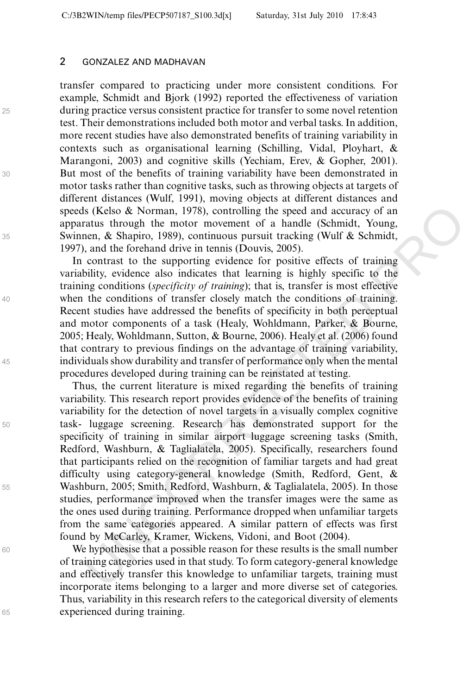transfer compared to practicing under more consistent conditions. For example, Schmidt and Bjork (1992) reported the effectiveness of variation during practice versus consistent practice for transfer to some novel retention test. Their demonstrations included both motor and verbal tasks. In addition, more recent studies have also demonstrated benefits of training variability in contexts such as organisational learning (Schilling, Vidal, Ployhart, & Marangoni, 2003) and cognitive skills (Yechiam, Erev, & Gopher, 2001). But most of the benefits of training variability have been demonstrated in motor tasks rather than cognitive tasks, such as throwing objects at targets of different distances (Wulf, 1991), moving objects at different distances and speeds (Kelso & Norman, 1978), controlling the speed and accuracy of an apparatus through the motor movement of a handle (Schmidt, Young, Swinnen, & Shapiro, 1989), continuous pursuit tracking (Wulf & Schmidt, 1997), and the forehand drive in tennis (Douvis, 2005).

In contrast to the supporting evidence for positive effects of training variability, evidence also indicates that learning is highly specific to the training conditions (specificity of training); that is, transfer is most effective when the conditions of transfer closely match the conditions of training. Recent studies have addressed the benefits of specificity in both perceptual and motor components of a task (Healy, Wohldmann, Parker, & Bourne, 2005; Healy, Wohldmann, Sutton, & Bourne, 2006). Healy et al. (2006) found that contrary to previous findings on the advantage of training variability, individuals show durability and transfer of performance only when the mental procedures developed during training can be reinstated at testing.

Is (Kelso & Norman, 1978), controlling the speed and accuracy of an<br>ratus through the motor movement of a handle (Schmidt, Young,<br>nen, & Shapiro, 1989), continuous pursuit tracking (Wulf & Schmidt, Young,<br>nen, & Shapiro, 1 Thus, the current literature is mixed regarding the benefits of training variability. This research report provides evidence of the benefits of training variability for the detection of novel targets in a visually complex cognitive task- luggage screening. Research has demonstrated support for the specificity of training in similar airport luggage screening tasks (Smith, Redford, Washburn, & Taglialatela, 2005). Specifically, researchers found that participants relied on the recognition of familiar targets and had great difficulty using category-general knowledge (Smith, Redford, Gent, & Washburn, 2005; Smith, Redford, Washburn, & Taglialatela, 2005). In those studies, performance improved when the transfer images were the same as the ones used during training. Performance dropped when unfamiliar targets from the same categories appeared. A similar pattern of effects was first found by McCarley, Kramer, Wickens, Vidoni, and Boot (2004).

We hypothesise that a possible reason for these results is the small number of training categories used in that study. To form category-general knowledge and effectively transfer this knowledge to unfamiliar targets, training must incorporate items belonging to a larger and more diverse set of categories. Thus, variability in this research refers to the categorical diversity of elements experienced during training.

25

30

35

45

40

50

55

60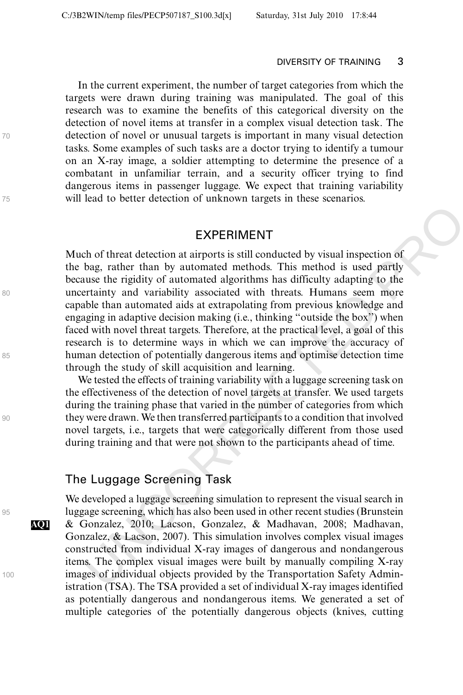In the current experiment, the number of target categories from which the targets were drawn during training was manipulated. The goal of this research was to examine the benefits of this categorical diversity on the detection of novel items at transfer in a complex visual detection task. The detection of novel or unusual targets is important in many visual detection tasks. Some examples of such tasks are a doctor trying to identify a tumour on an X-ray image, a soldier attempting to determine the presence of a combatant in unfamiliar terrain, and a security officer trying to find dangerous items in passenger luggage. We expect that training variability will lead to better detection of unknown targets in these scenarios.

## EXPERIMENT

EXPERIMENT<br>EXPERIMENT<br>EXPERIMENT<br>bag, rather than by automated methods. This method vasted parafore are<br>have the rigidity of automated algorithms has difficulty staping to the<br>retainty and variability associated with threa Much of threat detection at airports is still conducted by visual inspection of the bag, rather than by automated methods. This method is used partly because the rigidity of automated algorithms has difficulty adapting to the uncertainty and variability associated with threats. Humans seem more capable than automated aids at extrapolating from previous knowledge and engaging in adaptive decision making (i.e., thinking ''outside the box'') when faced with novel threat targets. Therefore, at the practical level, a goal of this research is to determine ways in which we can improve the accuracy of human detection of potentially dangerous items and optimise detection time through the study of skill acquisition and learning.

We tested the effects of training variability with a luggage screening task on the effectiveness of the detection of novel targets at transfer. We used targets during the training phase that varied in the number of categories from which they were drawn. We then transferred participants to a condition that involved novel targets, i.e., targets that were categorically different from those used during training and that were not shown to the participants ahead of time.

## The Luggage Screening Task

We developed a luggage screening simulation to represent the visual search in luggage screening, which has also been used in other recent studies (Brunstein & Gonzalez, 2010; Lacson, Gonzalez, & Madhavan, 2008; Madhavan, Gonzalez, & Lacson, 2007). This simulation involves complex visual images constructed from individual X-ray images of dangerous and nondangerous items. The complex visual images were built by manually compiling X-ray images of individual objects provided by the Transportation Safety Administration (TSA). The TSA provided a set of individual X-ray images identified as potentially dangerous and nondangerous items. We generated a set of multiple categories of the potentially dangerous objects (knives, cutting

70

75

85

80

 $90$ 

95

AQ1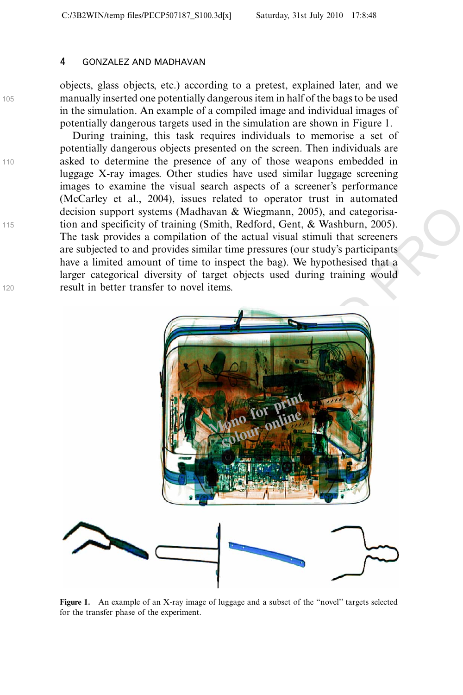objects, glass objects, etc.) according to a pretest, explained later, and we manually inserted one potentially dangerous item in half of the bags to be used in the simulation. An example of a compiled image and individual images of potentially dangerous targets used in the simulation are shown in Figure 1.

During training, this task requires individuals to memorise a set of potentially dangerous objects presented on the screen. Then individuals are asked to determine the presence of any of those weapons embedded in luggage X-ray images. Other studies have used similar luggage screening images to examine the visual search aspects of a screener's performance (McCarley et al., 2004), issues related to operator trust in automated decision support systems (Madhavan & Wiegmann, 2005), and categorisation and specificity of training (Smith, Redford, Gent, & Washburn, 2005). The task provides a compilation of the actual visual stimuli that screeners are subjected to and provides similar time pressures (our study's participants have a limited amount of time to inspect the bag). We hypothesised that a larger categorical diversity of target objects used during training would result in better transfer to novel items.



Figure 1. An example of an X-ray image of luggage and a subset of the "novel" targets selected for the transfer phase of the experiment.

110

115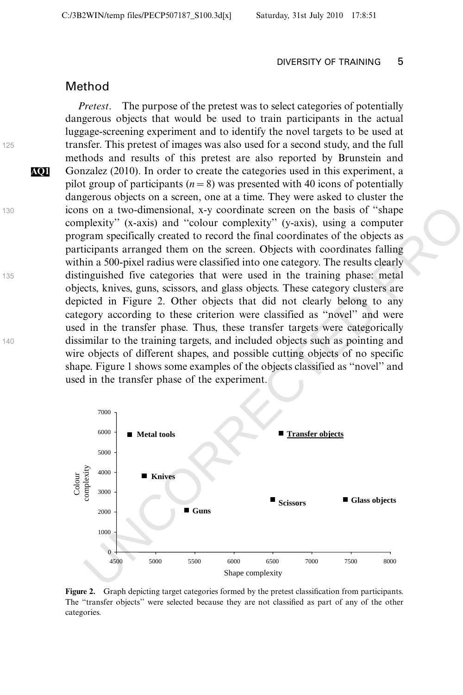## Method

Pretest. The purpose of the pretest was to select categories of potentially dangerous objects that would be used to train participants in the actual luggage-screening experiment and to identify the novel targets to be used at transfer. This pretest of images was also used for a second study, and the full methods and results of this pretest are also reported by Brunstein and Gonzalez (2010). In order to create the categories used in this experiment, a pilot group of participants ( $n = 8$ ) was presented with 40 icons of potentially dangerous objects on a screen, one at a time. They were asked to cluster the icons on a two-dimensional, x-y coordinate screen on the basis of ''shape complexity'' (x-axis) and ''colour complexity'' (y-axis), using a computer program specifically created to record the final coordinates of the objects as participants arranged them on the screen. Objects with coordinates falling within a 500-pixel radius were classified into one category. The results clearly distinguished five categories that were used in the training phase: metal objects, knives, guns, scissors, and glass objects. These category clusters are depicted in Figure 2. Other objects that did not clearly belong to any category according to these criterion were classified as ''novel'' and were used in the transfer phase. Thus, these transfer targets were categorically dissimilar to the training targets, and included objects such as pointing and wire objects of different shapes, and possible cutting objects of no specific shape. Figure 1 shows some examples of the objects classified as ''novel'' and used in the transfer phase of the experiment. AQ1



Figure 2. Graph depicting target categories formed by the pretest classification from participants. The ''transfer objects'' were selected because they are not classified as part of any of the other categories.

130

135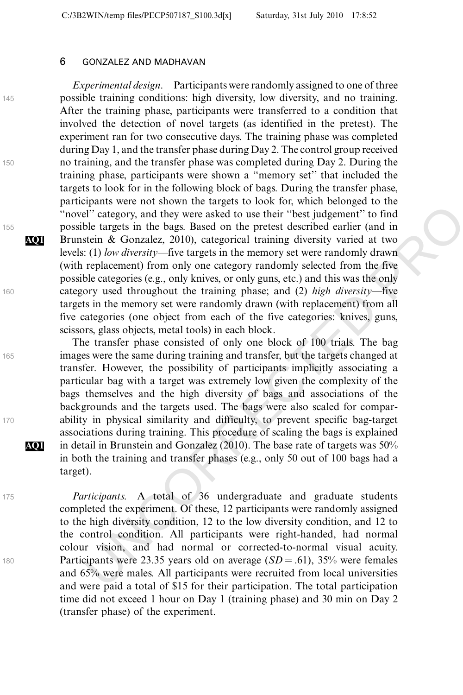Experimental design. Participants were randomly assigned to one of three possible training conditions: high diversity, low diversity, and no training. After the training phase, participants were transferred to a condition that involved the detection of novel targets (as identified in the pretest). The experiment ran for two consecutive days. The training phase was completed during Day 1, and the transfer phase during Day 2. The control group received no training, and the transfer phase was completed during Day 2. During the training phase, participants were shown a ''memory set'' that included the targets to look for in the following block of bags. During the transfer phase, participants were not shown the targets to look for, which belonged to the "novel" category, and they were asked to use their "best judgement" to find possible targets in the bags. Based on the pretest described earlier (and in Brunstein & Gonzalez, 2010), categorical training diversity varied at two levels: (1) low diversity—five targets in the memory set were randomly drawn (with replacement) from only one category randomly selected from the five possible categories (e.g., only knives, or only guns, etc.) and this was the only category used throughout the training phase; and  $(2)$  high diversity—five targets in the memory set were randomly drawn (with replacement) from all five categories (one object from each of the five categories: knives, guns, scissors, glass objects, metal tools) in each block. AQ1

είγαιο sever in standard met argets to toos to; we much cannot and the between the basis of the basis and the parts in the basis Based on the pretest described are it 'to find be targets in the basis Based on the pretest The transfer phase consisted of only one block of 100 trials. The bag images were the same during training and transfer, but the targets changed at transfer. However, the possibility of participants implicitly associating a particular bag with a target was extremely low given the complexity of the bags themselves and the high diversity of bags and associations of the backgrounds and the targets used. The bags were also scaled for comparability in physical similarity and difficulty, to prevent specific bag-target associations during training. This procedure of scaling the bags is explained in detail in Brunstein and Gonzalez (2010). The base rate of targets was 50% in both the training and transfer phases (e.g., only 50 out of 100 bags had a target).

Participants. A total of 36 undergraduate and graduate students completed the experiment. Of these, 12 participants were randomly assigned to the high diversity condition, 12 to the low diversity condition, and 12 to the control condition. All participants were right-handed, had normal colour vision, and had normal or corrected-to-normal visual acuity. Participants were 23.35 years old on average  $(SD = .61)$ , 35% were females and 65% were males. All participants were recruited from local universities and were paid a total of \$15 for their participation. The total participation time did not exceed 1 hour on Day 1 (training phase) and 30 min on Day 2 (transfer phase) of the experiment.

145

150

155

160

165

170

AQ1

175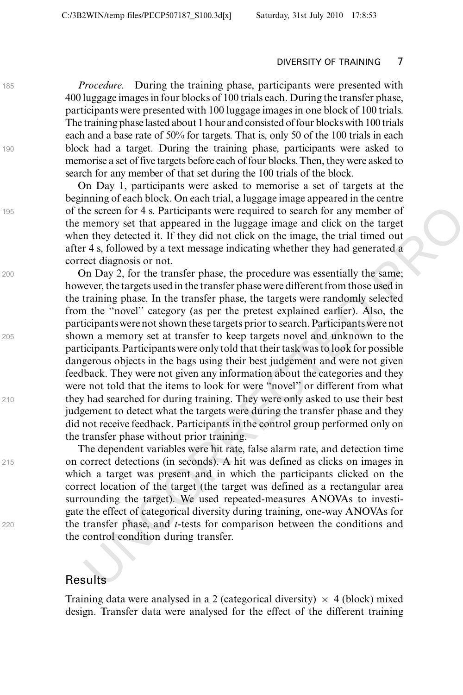Procedure. During the training phase, participants were presented with 400 luggage images in four blocks of 100 trials each. During the transfer phase, participants were presented with 100 luggage images in one block of 100 trials. The training phase lasted about 1 hour and consisted of four blockswith 100 trials each and a base rate of 50% for targets. That is, only 50 of the 100 trials in each block had a target. During the training phase, participants were asked to memorise a set of five targets before each of four blocks. Then, they were asked to search for any member of that set during the 100 trials of the block.

On Day 1, participants were asked to memorise a set of targets at the beginning of each block. On each trial, a luggage image appeared in the centre of the screen for 4 s. Participants were required to search for any member of the memory set that appeared in the luggage image and click on the target when they detected it. If they did not click on the image, the trial timed out after 4 s, followed by a text message indicating whether they had generated a correct diagnosis or not.

the section of 4 s. Participants were required to search for any member of the secten for 4 s. Participants were required to search for any member of m the lugge image image image image (ab c on the target of data appears On Day 2, for the transfer phase, the procedure was essentially the same; however, the targets used in the transfer phase were different from those used in the training phase. In the transfer phase, the targets were randomly selected from the ''novel'' category (as per the pretest explained earlier). Also, the participants were not shown these targets prior to search. Participantswere not shown a memory set at transfer to keep targets novel and unknown to the participants. Participants were only told that their task was to look for possible dangerous objects in the bags using their best judgement and were not given feedback. They were not given any information about the categories and they were not told that the items to look for were ''novel'' or different from what they had searched for during training. They were only asked to use their best judgement to detect what the targets were during the transfer phase and they did not receive feedback. Participants in the control group performed only on the transfer phase without prior training.

The dependent variables were hit rate, false alarm rate, and detection time on correct detections (in seconds). A hit was defined as clicks on images in which a target was present and in which the participants clicked on the correct location of the target (the target was defined as a rectangular area surrounding the target). We used repeated-measures ANOVAs to investigate the effect of categorical diversity during training, one-way ANOVAs for the transfer phase, and t-tests for comparison between the conditions and the control condition during transfer.

## **Results**

Training data were analysed in a 2 (categorical diversity)  $\times$  4 (block) mixed design. Transfer data were analysed for the effect of the different training

185

190

195

200

205

210

215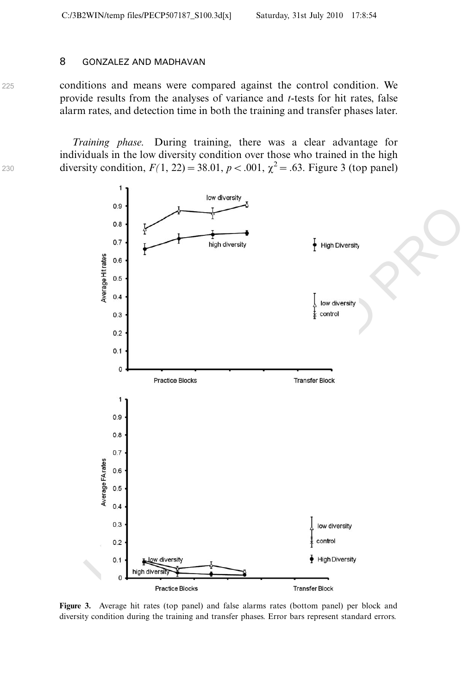conditions and means were compared against the control condition. We provide results from the analyses of variance and t-tests for hit rates, false alarm rates, and detection time in both the training and transfer phases later.

Training phase. During training, there was a clear advantage for individuals in the low diversity condition over those who trained in the high diversity condition,  $F(1, 22) = 38.01$ ,  $p < .001$ ,  $\chi^2 = .63$ . Figure 3 (top panel)



Figure 3. Average hit rates (top panel) and false alarms rates (bottom panel) per block and diversity condition during the training and transfer phases. Error bars represent standard errors.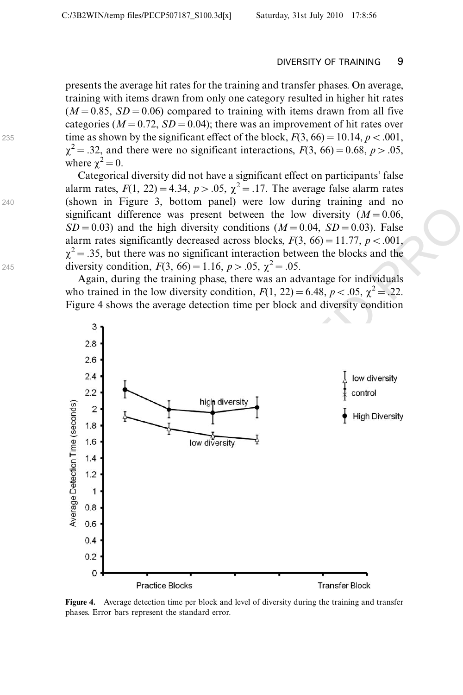presents the average hit rates for the training and transfer phases. On average, training with items drawn from only one category resulted in higher hit rates  $(M = 0.85, SD = 0.06)$  compared to training with items drawn from all five categories ( $M = 0.72$ ,  $SD = 0.04$ ); there was an improvement of hit rates over time as shown by the significant effect of the block,  $F(3, 66) = 10.14, p < .001$ ,  $\chi^2$  = .32, and there were no significant interactions,  $F(3, 66) = 0.68$ ,  $p > .05$ , where  $\chi^2 = 0$ .

Categorical diversity did not have a significant effect on participants' false alarm rates,  $F(1, 22) = 4.34$ ,  $p > .05$ ,  $\chi^2 = .17$ . The average false alarm rates (shown in Figure 3, bottom panel) were low during training and no significant difference was present between the low diversity  $(M = 0.06,$  $SD = 0.03$ ) and the high diversity conditions ( $M = 0.04$ ,  $SD = 0.03$ ). False alarm rates significantly decreased across blocks,  $F(3, 66) = 11.77$ ,  $p < .001$ ,  $\chi^2$  = .35, but there was no significant interaction between the blocks and the diversity condition,  $F(3, 66) = 1.16$ ,  $p > .05$ ,  $\chi^2 = .05$ .

Again, during the training phase, there was an advantage for individuals who trained in the low diversity condition,  $F(1, 22) = 6.48$ ,  $p < .05$ ,  $\chi^2 = .22$ . Figure 4 shows the average detection time per block and diversity condition



Figure 4. Average detection time per block and level of diversity during the training and transfer phases. Error bars represent the standard error.

240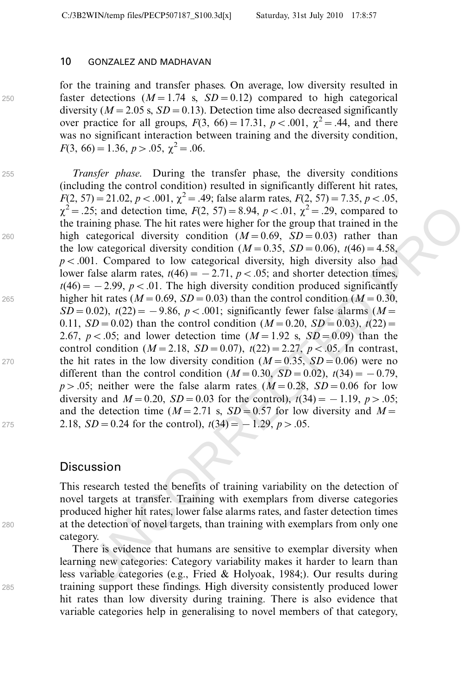for the training and transfer phases. On average, low diversity resulted in faster detections ( $M = 1.74$  s,  $SD = 0.12$ ) compared to high categorical diversity ( $M = 2.05$  s,  $SD = 0.13$ ). Detection time also decreased significantly over practice for all groups,  $F(3, 66) = 17.31$ ,  $p < .001$ ,  $\chi^2 = .44$ , and there was no significant interaction between training and the diversity condition,  $F(3, 66) = 1.36, p > .05, \chi^2 = .06.$ 

25; and detection time,  $P(2, 57) = 8.94$ ,  $p < .01$ ,  $\chi^2 = .29$ , compared to categorical diversity condition ( $M = 0.69$ ,  $SD = 0.03$ ) rather than tailing phase. The hit rates were higher for the group that trained in the cate Transfer phase. During the transfer phase, the diversity conditions (including the control condition) resulted in significantly different hit rates,  $F(2, 57) = 21.02, p < .001, \chi^2 = .49$ ; false alarm rates,  $F(2, 57) = 7.35, p < .05$ ,  $\chi^2$  = .25; and detection time,  $F(2, 57) = 8.94$ ,  $p < .01$ ,  $\chi^2$  = .29, compared to the training phase. The hit rates were higher for the group that trained in the high categorical diversity condition  $(M = 0.69, SD = 0.03)$  rather than the low categorical diversity condition  $(M = 0.35, SD = 0.06)$ ,  $t(46) = 4.58$ ,  $p < .001$ . Compared to low categorical diversity, high diversity also had lower false alarm rates,  $t(46) = -2.71$ ,  $p < .05$ ; and shorter detection times,  $t(46) = -2.99$ ,  $p < 0.01$ . The high diversity condition produced significantly higher hit rates ( $M = 0.69$ ,  $SD = 0.03$ ) than the control condition ( $M = 0.30$ ,  $SD = 0.02$ ),  $t(22) = -9.86$ ,  $p < .001$ ; significantly fewer false alarms (M = 0.11,  $SD = 0.02$ ) than the control condition ( $M = 0.20$ ,  $SD = 0.03$ ),  $t(22) =$ 2.67,  $p < .05$ ; and lower detection time ( $M = 1.92$  s,  $SD = 0.09$ ) than the control condition  $(M = 2.18, SD = 0.07)$ ,  $t(22) = 2.27, p < 0.05$ . In contrast, the hit rates in the low diversity condition  $(M = 0.35, SD = 0.06)$  were no different than the control condition  $(M = 0.30, SD = 0.02)$ ,  $t(34) = -0.79$ ,  $p > .05$ ; neither were the false alarm rates ( $M = 0.28$ ,  $SD = 0.06$  for low diversity and  $M = 0.20$ ,  $SD = 0.03$  for the control),  $t(34) = -1.19$ ,  $p > .05$ ; and the detection time ( $M = 2.71$  s,  $SD = 0.57$  for low diversity and  $M =$ 2.18,  $SD = 0.24$  for the control),  $t(34) = -1.29$ ,  $p > .05$ .

## **Discussion**

This research tested the benefits of training variability on the detection of novel targets at transfer. Training with exemplars from diverse categories produced higher hit rates, lower false alarms rates, and faster detection times at the detection of novel targets, than training with exemplars from only one category.

There is evidence that humans are sensitive to exemplar diversity when learning new categories: Category variability makes it harder to learn than less variable categories (e.g., Fried & Holyoak, 1984;). Our results during training support these findings. High diversity consistently produced lower hit rates than low diversity during training. There is also evidence that variable categories help in generalising to novel members of that category,

250

260

255

265

270

275

280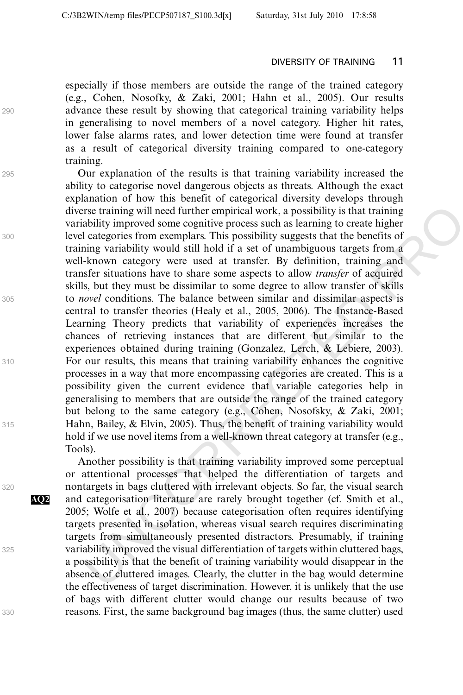especially if those members are outside the range of the trained category (e.g., Cohen, Nosofky, & Zaki, 2001; Hahn et al., 2005). Our results advance these result by showing that categorical training variability helps in generalising to novel members of a novel category. Higher hit rates, lower false alarms rates, and lower detection time were found at transfer as a result of categorical diversity training compared to one-category training.

rsee training will need further empirical work, a possibility is that training<br>ability improved some cognitive process such as learning to create higher<br>ability improved some cognitive process such as learning to create hi Our explanation of the results is that training variability increased the ability to categorise novel dangerous objects as threats. Although the exact explanation of how this benefit of categorical diversity develops through diverse training will need further empirical work, a possibility is that training variability improved some cognitive process such as learning to create higher level categories from exemplars. This possibility suggests that the benefits of training variability would still hold if a set of unambiguous targets from a well-known category were used at transfer. By definition, training and transfer situations have to share some aspects to allow transfer of acquired skills, but they must be dissimilar to some degree to allow transfer of skills to novel conditions. The balance between similar and dissimilar aspects is central to transfer theories (Healy et al., 2005, 2006). The Instance-Based Learning Theory predicts that variability of experiences increases the chances of retrieving instances that are different but similar to the experiences obtained during training (Gonzalez, Lerch, & Lebiere, 2003). For our results, this means that training variability enhances the cognitive processes in a way that more encompassing categories are created. This is a possibility given the current evidence that variable categories help in generalising to members that are outside the range of the trained category but belong to the same category (e.g., Cohen, Nosofsky, & Zaki, 2001; Hahn, Bailey, & Elvin, 2005). Thus, the benefit of training variability would hold if we use novel items from a well-known threat category at transfer (e.g., Tools).

Another possibility is that training variability improved some perceptual or attentional processes that helped the differentiation of targets and nontargets in bags cluttered with irrelevant objects. So far, the visual search and categorisation literature are rarely brought together (cf. Smith et al., 2005; Wolfe et al., 2007) because categorisation often requires identifying targets presented in isolation, whereas visual search requires discriminating targets from simultaneously presented distractors. Presumably, if training variability improved the visual differentiation of targets within cluttered bags, a possibility is that the benefit of training variability would disappear in the absence of cluttered images. Clearly, the clutter in the bag would determine the effectiveness of target discrimination. However, it is unlikely that the use of bags with different clutter would change our results because of two reasons. First, the same background bag images (thus, the same clutter) used

290

295

300

305

310

315

320

AQ2

325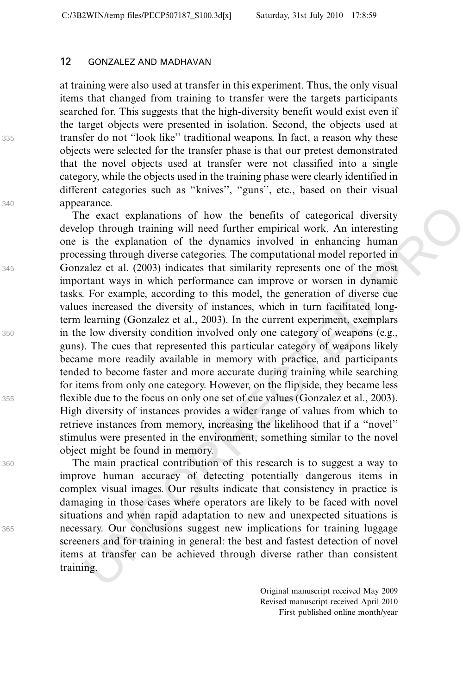at training were also used at transfer in this experiment. Thus, the only visual items that changed from training to transfer were the targets participants searched for. This suggests that the high-diversity benefit would exist even if the target objects were presented in isolation. Second, the objects used at transfer do not ''look like'' traditional weapons. In fact, a reason why these objects were selected for the transfer phase is that our pretest demonstrated that the novel objects used at transfer were not classified into a single category, while the objects used in the training phase were clearly identified in different categories such as ''knives'', ''guns'', etc., based on their visual appearance.

arence.<br>
are exact explanations of how the benefits of categorical diversity<br>
op through training will need further empirical work. An interesting<br>
is the explanation of the dynamics involved in enhancing human<br>
sissing th The exact explanations of how the benefits of categorical diversity develop through training will need further empirical work. An interesting one is the explanation of the dynamics involved in enhancing human processing through diverse categories. The computational model reported in Gonzalez et al. (2003) indicates that similarity represents one of the most important ways in which performance can improve or worsen in dynamic tasks. For example, according to this model, the generation of diverse cue values increased the diversity of instances, which in turn facilitated longterm learning (Gonzalez et al., 2003). In the current experiment, exemplars in the low diversity condition involved only one category of weapons (e.g., guns). The cues that represented this particular category of weapons likely became more readily available in memory with practice, and participants tended to become faster and more accurate during training while searching for items from only one category. However, on the flip side, they became less flexible due to the focus on only one set of cue values (Gonzalez et al., 2003). High diversity of instances provides a wider range of values from which to retrieve instances from memory, increasing the likelihood that if a ''novel'' stimulus were presented in the environment, something similar to the novel object might be found in memory.

The main practical contribution of this research is to suggest a way to improve human accuracy of detecting potentially dangerous items in complex visual images. Our results indicate that consistency in practice is damaging in those cases where operators are likely to be faced with novel situations and when rapid adaptation to new and unexpected situations is necessary. Our conclusions suggest new implications for training luggage screeners and for training in general: the best and fastest detection of novel items at transfer can be achieved through diverse rather than consistent training.

> Original manuscript received May 2009 Revised manuscript received April 2010 First published online month/year

335

340

350

345

355

360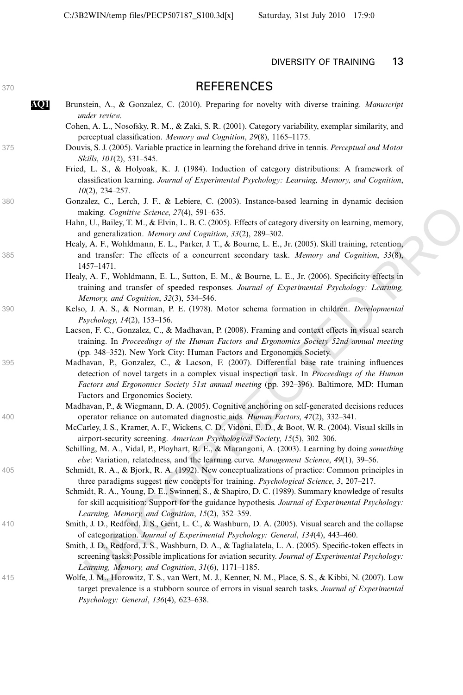370

## DIVERSITY OF TRAINING 13

# **REFERENCES**

| AQ1 | Brunstein, A., & Gonzalez, C. (2010). Preparing for novelty with diverse training. Manuscript<br>under review.                                                                                                                                                                                                                                                                                                                                                                                                                                                                                         |  |
|-----|--------------------------------------------------------------------------------------------------------------------------------------------------------------------------------------------------------------------------------------------------------------------------------------------------------------------------------------------------------------------------------------------------------------------------------------------------------------------------------------------------------------------------------------------------------------------------------------------------------|--|
|     | Cohen, A. L., Nosofsky, R. M., & Zaki, S. R. (2001). Category variability, exemplar similarity, and<br>perceptual classification. Memory and Cognition, 29(8), 1165-1175.                                                                                                                                                                                                                                                                                                                                                                                                                              |  |
| 375 | Douvis, S. J. (2005). Variable practice in learning the forehand drive in tennis. Perceptual and Motor<br>Skills, 101(2), 531-545.                                                                                                                                                                                                                                                                                                                                                                                                                                                                     |  |
|     | Fried, L. S., & Holyoak, K. J. (1984). Induction of category distributions: A framework of<br>classification learning. Journal of Experimental Psychology: Learning, Memory, and Cognition,<br>$10(2)$ , 234-257.                                                                                                                                                                                                                                                                                                                                                                                      |  |
| 380 | Gonzalez, C., Lerch, J. F., & Lebiere, C. (2003). Instance-based learning in dynamic decision<br>making. Cognitive Science, 27(4), 591-635.                                                                                                                                                                                                                                                                                                                                                                                                                                                            |  |
|     | Hahn, U., Bailey, T. M., & Elvin, L. B. C. (2005). Effects of category diversity on learning, memory,<br>and generalization. Memory and Cognition, 33(2), 289–302.                                                                                                                                                                                                                                                                                                                                                                                                                                     |  |
| 385 | Healy, A. F., Wohldmann, E. L., Parker, J. T., & Bourne, L. E., Jr. (2005). Skill training, retention,<br>and transfer: The effects of a concurrent secondary task. Memory and Cognition, 33(8),<br>1457-1471.                                                                                                                                                                                                                                                                                                                                                                                         |  |
|     | Healy, A. F., Wohldmann, E. L., Sutton, E. M., & Bourne, L. E., Jr. (2006). Specificity effects in<br>training and transfer of speeded responses. Journal of Experimental Psychology: Learning,<br>Memory, and Cognition, 32(3), 534-546.                                                                                                                                                                                                                                                                                                                                                              |  |
| 390 | Kelso, J. A. S., & Norman, P. E. (1978). Motor schema formation in children. Developmental<br>Psychology, 14(2), 153-156.<br>Lacson, F. C., Gonzalez, C., & Madhavan, P. (2008). Framing and context effects in visual search<br>training. In Proceedings of the Human Factors and Ergonomics Society 52nd annual meeting                                                                                                                                                                                                                                                                              |  |
| 395 | (pp. 348-352). New York City: Human Factors and Ergonomics Society.<br>Madhavan, P., Gonzalez, C., & Lacson, F. (2007). Differential base rate training influences<br>detection of novel targets in a complex visual inspection task. In <i>Proceedings of the Human</i><br>Factors and Ergonomics Society 51st annual meeting (pp. 392–396). Baltimore, MD: Human                                                                                                                                                                                                                                     |  |
| 400 | Factors and Ergonomics Society.<br>Madhavan, P., & Wiegmann, D. A. (2005). Cognitive anchoring on self-generated decisions reduces<br>operator reliance on automated diagnostic aids. <i>Human Factors</i> , 47(2), 332–341.<br>McCarley, J. S., Kramer, A. F., Wickens, C. D., Vidoni, E. D., & Boot, W. R. (2004). Visual skills in<br>airport-security screening. American Psychological Society, 15(5), 302-306.                                                                                                                                                                                   |  |
| 405 | Schilling, M. A., Vidal, P., Ployhart, R. E., & Marangoni, A. (2003). Learning by doing <i>something</i><br>else: Variation, relatedness, and the learning curve. Management Science, 49(1), 39–56.<br>Schmidt, R. A., & Bjork, R. A. (1992). New conceptualizations of practice: Common principles in<br>three paradigms suggest new concepts for training. Psychological Science, 3, 207-217.<br>Schmidt, R. A., Young, D. E., Swinnen, S., & Shapiro, D. C. (1989). Summary knowledge of results<br>for skill acquisition: Support for the guidance hypothesis. Journal of Experimental Psychology: |  |
| 410 | Learning, Memory, and Cognition, 15(2), 352-359.<br>Smith, J. D., Redford, J. S., Gent, L. C., & Washburn, D. A. (2005). Visual search and the collapse<br>of categorization. Journal of Experimental Psychology: General, 134(4), 443-460.<br>Smith, J. D., Redford, J. S., Washburn, D. A., & Taglialatela, L. A. (2005). Specific-token effects in                                                                                                                                                                                                                                                  |  |
|     | screening tasks: Possible implications for aviation security. Journal of Experimental Psychology:<br>Learning, Memory, and Cognition, 31(6), 1171-1185.                                                                                                                                                                                                                                                                                                                                                                                                                                                |  |
| 415 | Wolfe, J. M., Horowitz, T. S., van Wert, M. J., Kenner, N. M., Place, S. S., & Kibbi, N. (2007). Low<br>target prevalence is a stubborn source of errors in visual search tasks. Journal of Experimental<br>Psychology: General, 136(4), 623-638.                                                                                                                                                                                                                                                                                                                                                      |  |